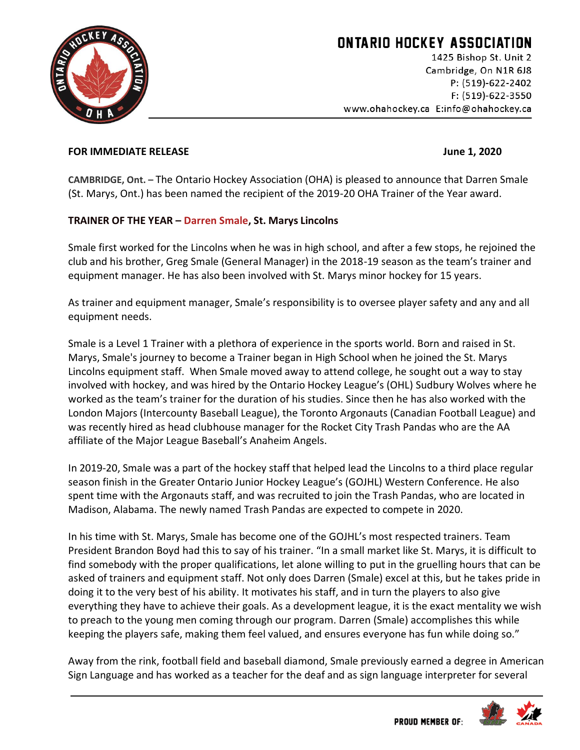

# **ONTARIO HOCKEY ASSOCIATION**

1425 Bishop St. Unit 2 Cambridge, On N1R 6J8 P: (519)-622-2402 F: (519)-622-3550 www.ohahockey.ca E:info@ohahockey.ca

### **FOR IMMEDIATE RELEASE June 1, 2020**

**CAMBRIDGE, Ont. –** The Ontario Hockey Association (OHA) is pleased to announce that Darren Smale (St. Marys, Ont.) has been named the recipient of the 2019-20 OHA Trainer of the Year award.

## **TRAINER OF THE YEAR – Darren Smale, St. Marys Lincolns**

Smale first worked for the Lincolns when he was in high school, and after a few stops, he rejoined the club and his brother, Greg Smale (General Manager) in the 2018-19 season as the team's trainer and equipment manager. He has also been involved with St. Marys minor hockey for 15 years.

As trainer and equipment manager, Smale's responsibility is to oversee player safety and any and all equipment needs.

Smale is a Level 1 Trainer with a plethora of experience in the sports world. Born and raised in St. Marys, Smale's journey to become a Trainer began in High School when he joined the St. Marys Lincolns equipment staff. When Smale moved away to attend college, he sought out a way to stay involved with hockey, and was hired by the Ontario Hockey League's (OHL) Sudbury Wolves where he worked as the team's trainer for the duration of his studies. Since then he has also worked with the London Majors (Intercounty Baseball League), the Toronto Argonauts (Canadian Football League) and was recently hired as head clubhouse manager for the Rocket City Trash Pandas who are the AA affiliate of the Major League Baseball's Anaheim Angels.

In 2019-20, Smale was a part of the hockey staff that helped lead the Lincolns to a third place regular season finish in the Greater Ontario Junior Hockey League's (GOJHL) Western Conference. He also spent time with the Argonauts staff, and was recruited to join the Trash Pandas, who are located in Madison, Alabama. The newly named Trash Pandas are expected to compete in 2020.

In his time with St. Marys, Smale has become one of the GOJHL's most respected trainers. Team President Brandon Boyd had this to say of his trainer. "In a small market like St. Marys, it is difficult to find somebody with the proper qualifications, let alone willing to put in the gruelling hours that can be asked of trainers and equipment staff. Not only does Darren (Smale) excel at this, but he takes pride in doing it to the very best of his ability. It motivates his staff, and in turn the players to also give everything they have to achieve their goals. As a development league, it is the exact mentality we wish to preach to the young men coming through our program. Darren (Smale) accomplishes this while keeping the players safe, making them feel valued, and ensures everyone has fun while doing so."

Away from the rink, football field and baseball diamond, Smale previously earned a degree in American Sign Language and has worked as a teacher for the deaf and as sign language interpreter for several